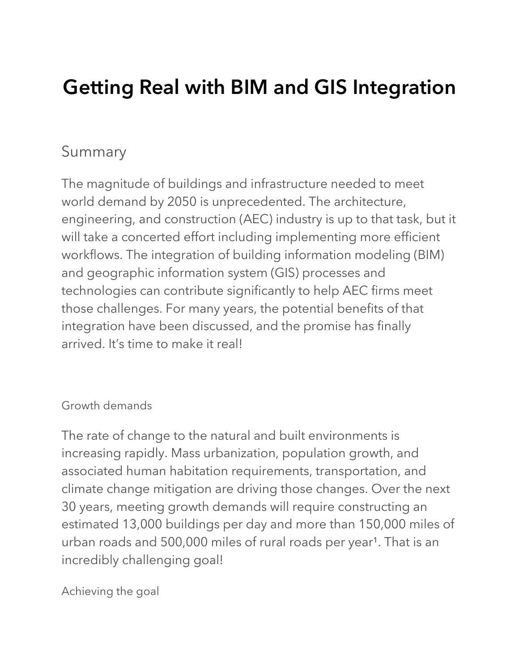# **Getting Real with BIM and GIS Integration**

### Summary

The magnitude of buildings and infrastructure needed to meet world demand by 2050 is unprecedented. The architecture, engineering, and construction (AEC) industry is up to that task, but it will take a concerted effort including implementing more efficient workflows. The integration of building information modeling (BIM) and geographic information system (GIS) processes and technologies can contribute significantly to help AEC firms meet those challenges. For many years, the potential benefits of that integration have been discussed, and the promise has finally arrived. It's time to make it real!

#### Growth demands

The rate of change to the natural and built environments is increasing rapidly. Mass urbanization, population growth, and associated human habitation requirements, transportation, and climate change mitigation are driving those changes. Over the next 30 years, meeting growth demands will require constructing an estimated 13,000 buildings per day and more than 150,000 miles of urban roads and 500,000 miles of rural roads per year<sup>1</sup>. That is an incredibly challenging goal!

Achieving the goal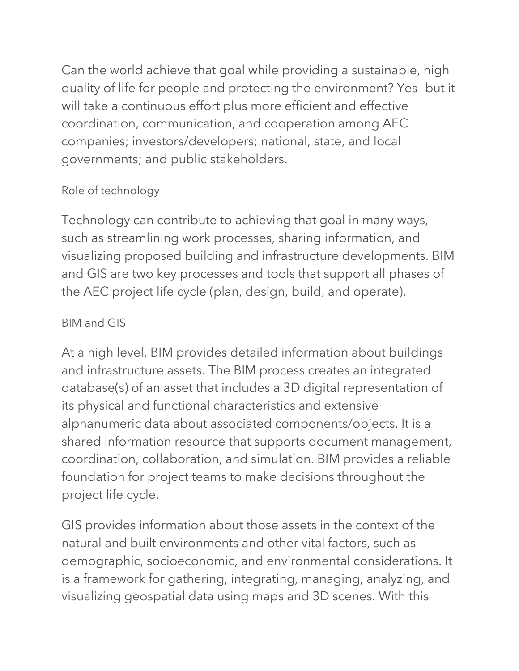Can the world achieve that goal while providing a sustainable, high quality of life for people and protecting the environment? Yes—but it will take a continuous effort plus more efficient and effective coordination, communication, and cooperation among AEC companies; investors/developers; national, state, and local governments; and public stakeholders.

#### Role of technology

Technology can contribute to achieving that goal in many ways, such as streamlining work processes, sharing information, and visualizing proposed building and infrastructure developments. BIM and GIS are two key processes and tools that support all phases of the AEC project life cycle (plan, design, build, and operate).

#### BIM and GIS

At a high level, BIM provides detailed information about buildings and infrastructure assets. The BIM process creates an integrated database(s) of an asset that includes a 3D digital representation of its physical and functional characteristics and extensive alphanumeric data about associated components/objects. It is a shared information resource that supports document management, coordination, collaboration, and simulation. BIM provides a reliable foundation for project teams to make decisions throughout the project life cycle.

GIS provides information about those assets in the context of the natural and built environments and other vital factors, such as demographic, socioeconomic, and environmental considerations. It is a framework for gathering, integrating, managing, analyzing, and visualizing geospatial data using maps and 3D scenes. With this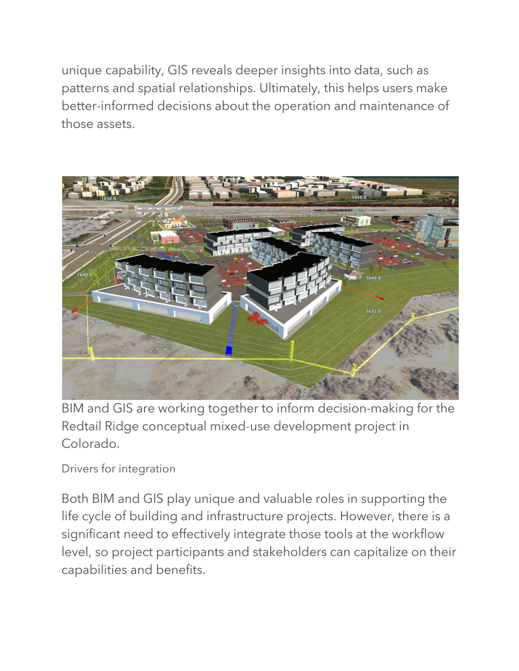unique capability, GIS reveals deeper insights into data, such as patterns and spatial relationships. Ultimately, this helps users make better-informed decisions about the operation and maintenance of those assets.



BIM and GIS are working together to inform decision-making for the Redtail Ridge conceptual mixed-use development project in Colorado.

Drivers for integration

Both BIM and GIS play unique and valuable roles in supporting the life cycle of building and infrastructure projects. However, there is a significant need to effectively integrate those tools at the workflow level, so project participants and stakeholders can capitalize on their capabilities and benefits.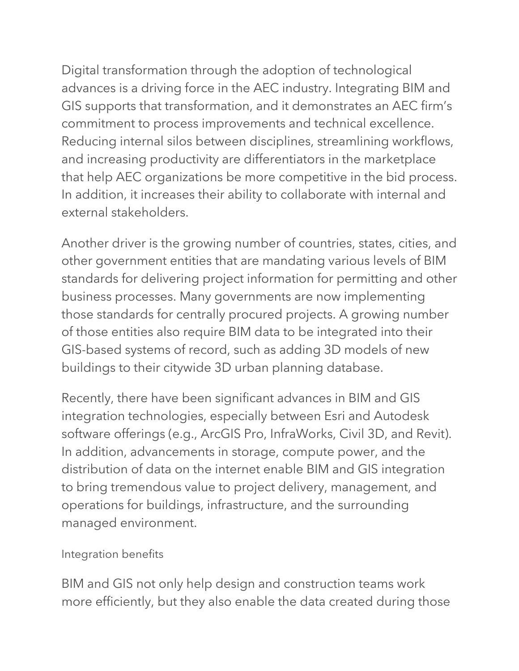Digital transformation through the adoption of technological advances is a driving force in the AEC industry. Integrating BIM and GIS supports that transformation, and it demonstrates an AEC firm's commitment to process improvements and technical excellence. Reducing internal silos between disciplines, streamlining workflows, and increasing productivity are differentiators in the marketplace that help AEC organizations be more competitive in the bid process. In addition, it increases their ability to collaborate with internal and external stakeholders.

Another driver is the growing number of countries, states, cities, and other government entities that are mandating various levels of BIM standards for delivering project information for permitting and other business processes. Many governments are now implementing those standards for centrally procured projects. A growing number of those entities also require BIM data to be integrated into their GIS-based systems of record, such as adding 3D models of new buildings to their citywide 3D urban planning database.

Recently, there have been significant advances in BIM and GIS integration technologies, especially between Esri and Autodesk software offerings (e.g., ArcGIS Pro, InfraWorks, Civil 3D, and Revit). In addition, advancements in storage, compute power, and the distribution of data on the internet enable BIM and GIS integration to bring tremendous value to project delivery, management, and operations for buildings, infrastructure, and the surrounding managed environment.

#### Integration benefits

BIM and GIS not only help design and construction teams work more efficiently, but they also enable the data created during those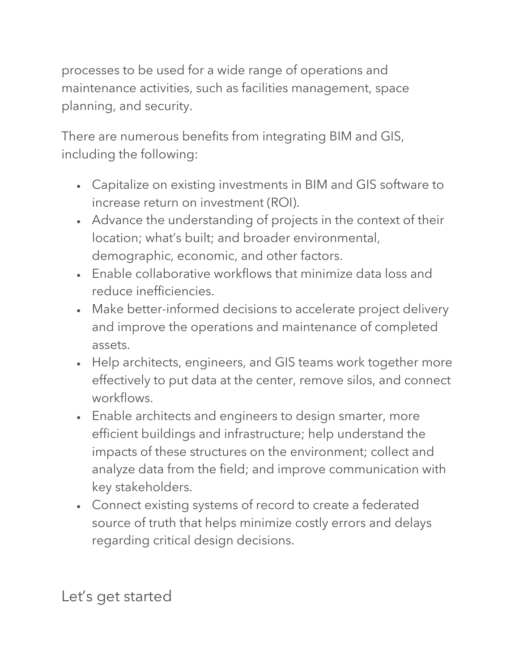processes to be used for a wide range of operations and maintenance activities, such as facilities management, space planning, and security.

There are numerous benefits from integrating BIM and GIS, including the following:

- Capitalize on existing investments in BIM and GIS software to increase return on investment (ROI).
- Advance the understanding of projects in the context of their location; what's built; and broader environmental, demographic, economic, and other factors.
- Enable collaborative workflows that minimize data loss and reduce inefficiencies.
- Make better-informed decisions to accelerate project delivery and improve the operations and maintenance of completed assets.
- Help architects, engineers, and GIS teams work together more effectively to put data at the center, remove silos, and connect workflows.
- Enable architects and engineers to design smarter, more efficient buildings and infrastructure; help understand the impacts of these structures on the environment; collect and analyze data from the field; and improve communication with key stakeholders.
- Connect existing systems of record to create a federated source of truth that helps minimize costly errors and delays regarding critical design decisions.

Let's get started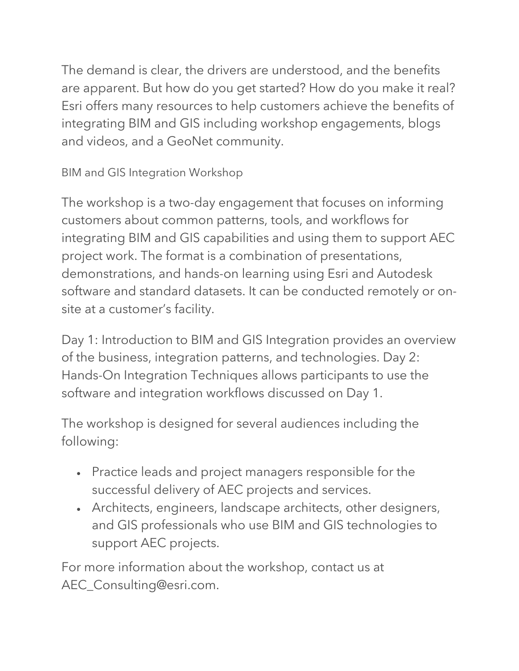The demand is clear, the drivers are understood, and the benefits are apparent. But how do you get started? How do you make it real? Esri offers many resources to help customers achieve the benefits of integrating BIM and GIS including workshop engagements, blogs and videos, and a GeoNet community.

BIM and GIS Integration Workshop

The workshop is a two-day engagement that focuses on informing customers about common patterns, tools, and workflows for integrating BIM and GIS capabilities and using them to support AEC project work. The format is a combination of presentations, demonstrations, and hands-on learning using Esri and Autodesk software and standard datasets. It can be conducted remotely or onsite at a customer's facility.

Day 1: Introduction to BIM and GIS Integration provides an overview of the business, integration patterns, and technologies. Day 2: Hands-On Integration Techniques allows participants to use the software and integration workflows discussed on Day 1.

The workshop is designed for several audiences including the following:

- Practice leads and project managers responsible for the successful delivery of AEC projects and services.
- Architects, engineers, landscape architects, other designers, and GIS professionals who use BIM and GIS technologies to support AEC projects.

For more information about the workshop, contact us at AEC\_Consulting@esri.com.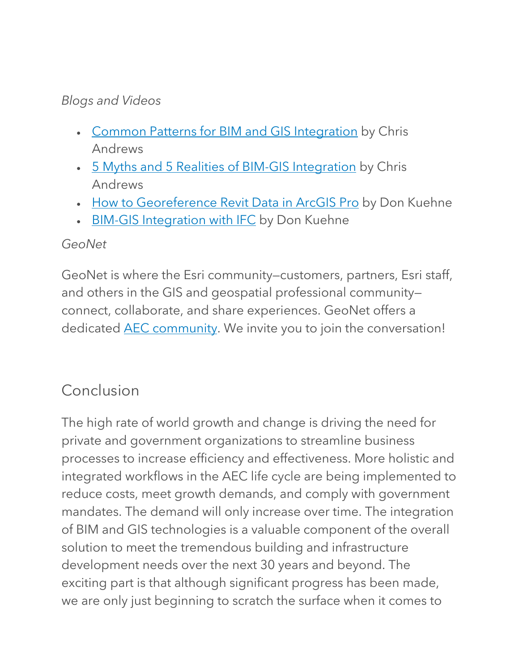#### *Blogs and Videos*

- Common Patterns for BIM and GIS Integration by Chris Andrews
- 5 Myths and 5 Realities of BIM-GIS Integration by Chris Andrews
- How to Georeference Revit Data in ArcGIS Pro by Don Kuehne
- BIM-GIS Integration with IFC by Don Kuehne

#### *GeoNet*

GeoNet is where the Esri community—customers, partners, Esri staff, and others in the GIS and geospatial professional community connect, collaborate, and share experiences. GeoNet offers a dedicated **AEC** community. We invite you to join the conversation!

## Conclusion

The high rate of world growth and change is driving the need for private and government organizations to streamline business processes to increase efficiency and effectiveness. More holistic and integrated workflows in the AEC life cycle are being implemented to reduce costs, meet growth demands, and comply with government mandates. The demand will only increase over time. The integration of BIM and GIS technologies is a valuable component of the overall solution to meet the tremendous building and infrastructure development needs over the next 30 years and beyond. The exciting part is that although significant progress has been made, we are only just beginning to scratch the surface when it comes to